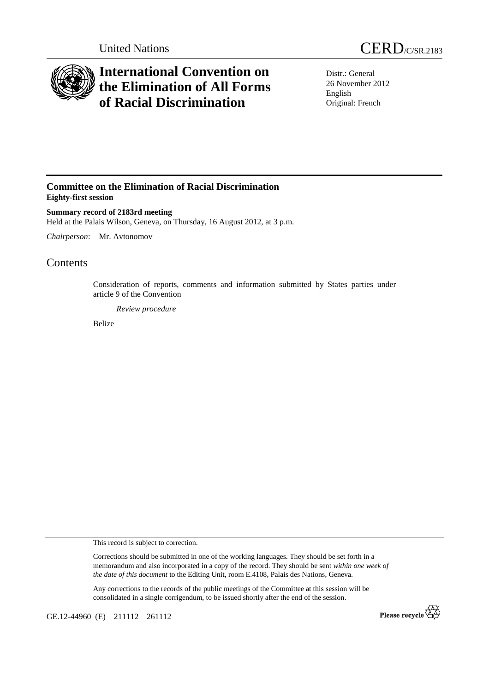



# **International Convention on the Elimination of All Forms of Racial Discrimination**

Distr.: General 26 November 2012 English Original: French

### **Committee on the Elimination of Racial Discrimination Eighty-first session**

**Summary record of 2183rd meeting**  Held at the Palais Wilson, Geneva, on Thursday, 16 August 2012, at 3 p.m.

*Chairperson*: Mr. Avtonomov

## **Contents**

Consideration of reports, comments and information submitted by States parties under article 9 of the Convention

*Review procedure*

Belize

This record is subject to correction.

Corrections should be submitted in one of the working languages. They should be set forth in a memorandum and also incorporated in a copy of the record. They should be sent *within one week of the date of this document* to the Editing Unit, room E.4108, Palais des Nations, Geneva.

Any corrections to the records of the public meetings of the Committee at this session will be consolidated in a single corrigendum, to be issued shortly after the end of the session.

GE.12-44960 (E) 211112 261112

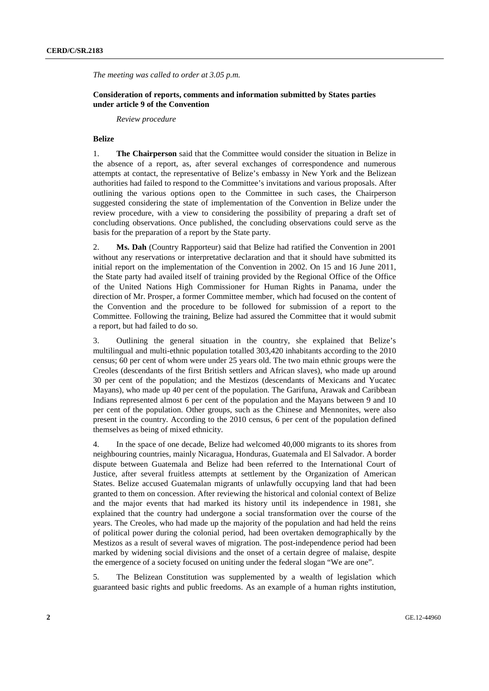*The meeting was called to order at 3.05 p.m.* 

#### **Consideration of reports, comments and information submitted by States parties under article 9 of the Convention**

 *Review procedure* 

#### **Belize**

1. **The Chairperson** said that the Committee would consider the situation in Belize in the absence of a report, as, after several exchanges of correspondence and numerous attempts at contact, the representative of Belize's embassy in New York and the Belizean authorities had failed to respond to the Committee's invitations and various proposals. After outlining the various options open to the Committee in such cases, the Chairperson suggested considering the state of implementation of the Convention in Belize under the review procedure, with a view to considering the possibility of preparing a draft set of concluding observations. Once published, the concluding observations could serve as the basis for the preparation of a report by the State party.

2. **Ms. Dah** (Country Rapporteur) said that Belize had ratified the Convention in 2001 without any reservations or interpretative declaration and that it should have submitted its initial report on the implementation of the Convention in 2002. On 15 and 16 June 2011, the State party had availed itself of training provided by the Regional Office of the Office of the United Nations High Commissioner for Human Rights in Panama, under the direction of Mr. Prosper, a former Committee member, which had focused on the content of the Convention and the procedure to be followed for submission of a report to the Committee. Following the training, Belize had assured the Committee that it would submit a report, but had failed to do so.

3. Outlining the general situation in the country, she explained that Belize's multilingual and multi-ethnic population totalled 303,420 inhabitants according to the 2010 census; 60 per cent of whom were under 25 years old. The two main ethnic groups were the Creoles (descendants of the first British settlers and African slaves), who made up around 30 per cent of the population; and the Mestizos (descendants of Mexicans and Yucatec Mayans), who made up 40 per cent of the population. The Garifuna, Arawak and Caribbean Indians represented almost 6 per cent of the population and the Mayans between 9 and 10 per cent of the population. Other groups, such as the Chinese and Mennonites, were also present in the country. According to the 2010 census, 6 per cent of the population defined themselves as being of mixed ethnicity.

4. In the space of one decade, Belize had welcomed 40,000 migrants to its shores from neighbouring countries, mainly Nicaragua, Honduras, Guatemala and El Salvador. A border dispute between Guatemala and Belize had been referred to the International Court of Justice, after several fruitless attempts at settlement by the Organization of American States. Belize accused Guatemalan migrants of unlawfully occupying land that had been granted to them on concession. After reviewing the historical and colonial context of Belize and the major events that had marked its history until its independence in 1981, she explained that the country had undergone a social transformation over the course of the years. The Creoles, who had made up the majority of the population and had held the reins of political power during the colonial period, had been overtaken demographically by the Mestizos as a result of several waves of migration. The post-independence period had been marked by widening social divisions and the onset of a certain degree of malaise, despite the emergence of a society focused on uniting under the federal slogan "We are one".

5. The Belizean Constitution was supplemented by a wealth of legislation which guaranteed basic rights and public freedoms. As an example of a human rights institution,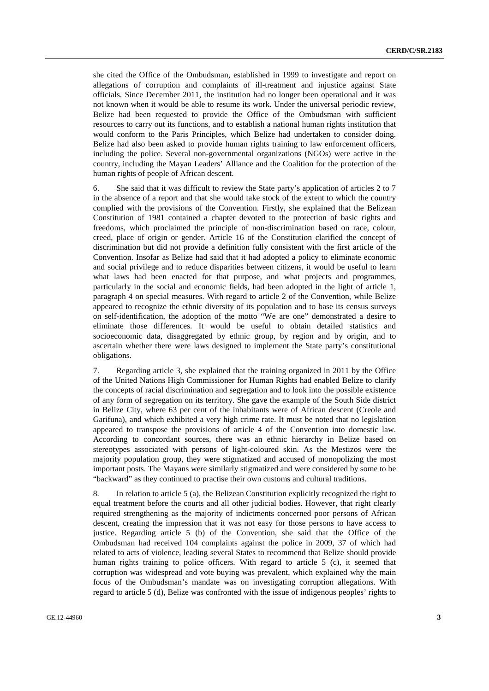she cited the Office of the Ombudsman, established in 1999 to investigate and report on allegations of corruption and complaints of ill-treatment and injustice against State officials. Since December 2011, the institution had no longer been operational and it was not known when it would be able to resume its work. Under the universal periodic review, Belize had been requested to provide the Office of the Ombudsman with sufficient resources to carry out its functions, and to establish a national human rights institution that would conform to the Paris Principles, which Belize had undertaken to consider doing. Belize had also been asked to provide human rights training to law enforcement officers, including the police. Several non-governmental organizations (NGOs) were active in the country, including the Mayan Leaders' Alliance and the Coalition for the protection of the human rights of people of African descent.

6. She said that it was difficult to review the State party's application of articles 2 to 7 in the absence of a report and that she would take stock of the extent to which the country complied with the provisions of the Convention. Firstly, she explained that the Belizean Constitution of 1981 contained a chapter devoted to the protection of basic rights and freedoms, which proclaimed the principle of non-discrimination based on race, colour, creed, place of origin or gender. Article 16 of the Constitution clarified the concept of discrimination but did not provide a definition fully consistent with the first article of the Convention. Insofar as Belize had said that it had adopted a policy to eliminate economic and social privilege and to reduce disparities between citizens, it would be useful to learn what laws had been enacted for that purpose, and what projects and programmes, particularly in the social and economic fields, had been adopted in the light of article 1, paragraph 4 on special measures. With regard to article 2 of the Convention, while Belize appeared to recognize the ethnic diversity of its population and to base its census surveys on self-identification, the adoption of the motto "We are one" demonstrated a desire to eliminate those differences. It would be useful to obtain detailed statistics and socioeconomic data, disaggregated by ethnic group, by region and by origin, and to ascertain whether there were laws designed to implement the State party's constitutional obligations.

7. Regarding article 3, she explained that the training organized in 2011 by the Office of the United Nations High Commissioner for Human Rights had enabled Belize to clarify the concepts of racial discrimination and segregation and to look into the possible existence of any form of segregation on its territory. She gave the example of the South Side district in Belize City, where 63 per cent of the inhabitants were of African descent (Creole and Garifuna), and which exhibited a very high crime rate. It must be noted that no legislation appeared to transpose the provisions of article 4 of the Convention into domestic law. According to concordant sources, there was an ethnic hierarchy in Belize based on stereotypes associated with persons of light-coloured skin. As the Mestizos were the majority population group, they were stigmatized and accused of monopolizing the most important posts. The Mayans were similarly stigmatized and were considered by some to be "backward" as they continued to practise their own customs and cultural traditions.

8. In relation to article 5 (a), the Belizean Constitution explicitly recognized the right to equal treatment before the courts and all other judicial bodies. However, that right clearly required strengthening as the majority of indictments concerned poor persons of African descent, creating the impression that it was not easy for those persons to have access to justice. Regarding article 5 (b) of the Convention, she said that the Office of the Ombudsman had received 104 complaints against the police in 2009, 37 of which had related to acts of violence, leading several States to recommend that Belize should provide human rights training to police officers. With regard to article 5 (c), it seemed that corruption was widespread and vote buying was prevalent, which explained why the main focus of the Ombudsman's mandate was on investigating corruption allegations. With regard to article 5 (d), Belize was confronted with the issue of indigenous peoples' rights to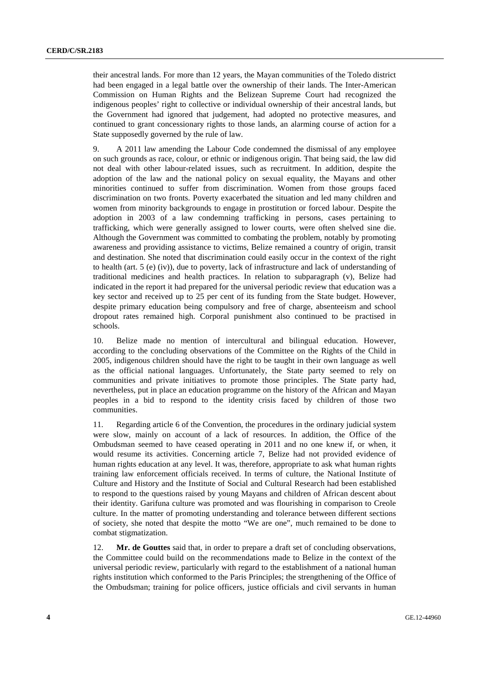their ancestral lands. For more than 12 years, the Mayan communities of the Toledo district had been engaged in a legal battle over the ownership of their lands. The Inter-American Commission on Human Rights and the Belizean Supreme Court had recognized the indigenous peoples' right to collective or individual ownership of their ancestral lands, but the Government had ignored that judgement, had adopted no protective measures, and continued to grant concessionary rights to those lands, an alarming course of action for a State supposedly governed by the rule of law.

9. A 2011 law amending the Labour Code condemned the dismissal of any employee on such grounds as race, colour, or ethnic or indigenous origin. That being said, the law did not deal with other labour-related issues, such as recruitment. In addition, despite the adoption of the law and the national policy on sexual equality, the Mayans and other minorities continued to suffer from discrimination. Women from those groups faced discrimination on two fronts. Poverty exacerbated the situation and led many children and women from minority backgrounds to engage in prostitution or forced labour. Despite the adoption in 2003 of a law condemning trafficking in persons, cases pertaining to trafficking, which were generally assigned to lower courts, were often shelved sine die. Although the Government was committed to combating the problem, notably by promoting awareness and providing assistance to victims, Belize remained a country of origin, transit and destination. She noted that discrimination could easily occur in the context of the right to health (art. 5 (e) (iv)), due to poverty, lack of infrastructure and lack of understanding of traditional medicines and health practices. In relation to subparagraph (v), Belize had indicated in the report it had prepared for the universal periodic review that education was a key sector and received up to 25 per cent of its funding from the State budget. However, despite primary education being compulsory and free of charge, absenteeism and school dropout rates remained high. Corporal punishment also continued to be practised in schools.

10. Belize made no mention of intercultural and bilingual education. However, according to the concluding observations of the Committee on the Rights of the Child in 2005, indigenous children should have the right to be taught in their own language as well as the official national languages. Unfortunately, the State party seemed to rely on communities and private initiatives to promote those principles. The State party had, nevertheless, put in place an education programme on the history of the African and Mayan peoples in a bid to respond to the identity crisis faced by children of those two communities.

11. Regarding article 6 of the Convention, the procedures in the ordinary judicial system were slow, mainly on account of a lack of resources. In addition, the Office of the Ombudsman seemed to have ceased operating in 2011 and no one knew if, or when, it would resume its activities. Concerning article 7, Belize had not provided evidence of human rights education at any level. It was, therefore, appropriate to ask what human rights training law enforcement officials received. In terms of culture, the National Institute of Culture and History and the Institute of Social and Cultural Research had been established to respond to the questions raised by young Mayans and children of African descent about their identity. Garifuna culture was promoted and was flourishing in comparison to Creole culture. In the matter of promoting understanding and tolerance between different sections of society, she noted that despite the motto "We are one", much remained to be done to combat stigmatization.

12. **Mr. de Gouttes** said that, in order to prepare a draft set of concluding observations, the Committee could build on the recommendations made to Belize in the context of the universal periodic review, particularly with regard to the establishment of a national human rights institution which conformed to the Paris Principles; the strengthening of the Office of the Ombudsman; training for police officers, justice officials and civil servants in human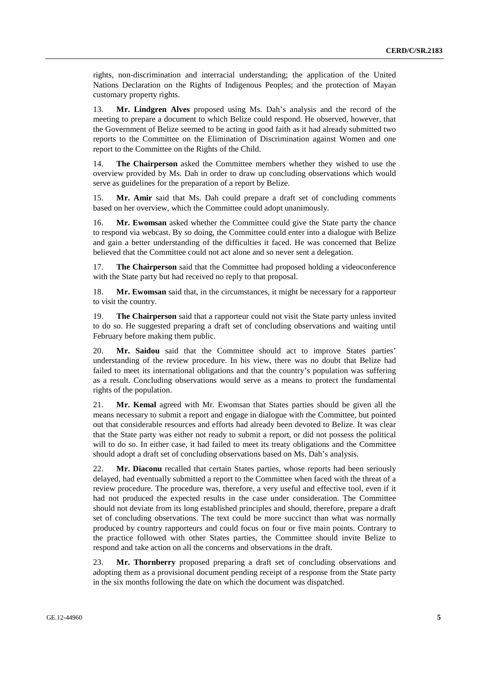rights, non-discrimination and interracial understanding; the application of the United Nations Declaration on the Rights of Indigenous Peoples; and the protection of Mayan customary property rights.

13. **Mr. Lindgren Alves** proposed using Ms. Dah's analysis and the record of the meeting to prepare a document to which Belize could respond. He observed, however, that the Government of Belize seemed to be acting in good faith as it had already submitted two reports to the Committee on the Elimination of Discrimination against Women and one report to the Committee on the Rights of the Child.

14. **The Chairperson** asked the Committee members whether they wished to use the overview provided by Ms. Dah in order to draw up concluding observations which would serve as guidelines for the preparation of a report by Belize.

15. **Mr. Amir** said that Ms. Dah could prepare a draft set of concluding comments based on her overview, which the Committee could adopt unanimously.

16. **Mr. Ewomsan** asked whether the Committee could give the State party the chance to respond via webcast. By so doing, the Committee could enter into a dialogue with Belize and gain a better understanding of the difficulties it faced. He was concerned that Belize believed that the Committee could not act alone and so never sent a delegation.

17. **The Chairperson** said that the Committee had proposed holding a videoconference with the State party but had received no reply to that proposal.

18. **Mr. Ewomsan** said that, in the circumstances, it might be necessary for a rapporteur to visit the country.

19. **The Chairperson** said that a rapporteur could not visit the State party unless invited to do so. He suggested preparing a draft set of concluding observations and waiting until February before making them public.

20. **Mr. Saidou** said that the Committee should act to improve States parties' understanding of the review procedure. In his view, there was no doubt that Belize had failed to meet its international obligations and that the country's population was suffering as a result. Concluding observations would serve as a means to protect the fundamental rights of the population.

21. **Mr. Kemal** agreed with Mr. Ewomsan that States parties should be given all the means necessary to submit a report and engage in dialogue with the Committee, but pointed out that considerable resources and efforts had already been devoted to Belize. It was clear that the State party was either not ready to submit a report, or did not possess the political will to do so. In either case, it had failed to meet its treaty obligations and the Committee should adopt a draft set of concluding observations based on Ms. Dah's analysis.

22. **Mr. Diaconu** recalled that certain States parties, whose reports had been seriously delayed, had eventually submitted a report to the Committee when faced with the threat of a review procedure. The procedure was, therefore, a very useful and effective tool, even if it had not produced the expected results in the case under consideration. The Committee should not deviate from its long established principles and should, therefore, prepare a draft set of concluding observations. The text could be more succinct than what was normally produced by country rapporteurs and could focus on four or five main points. Contrary to the practice followed with other States parties, the Committee should invite Belize to respond and take action on all the concerns and observations in the draft.

23. **Mr. Thornberry** proposed preparing a draft set of concluding observations and adopting them as a provisional document pending receipt of a response from the State party in the six months following the date on which the document was dispatched.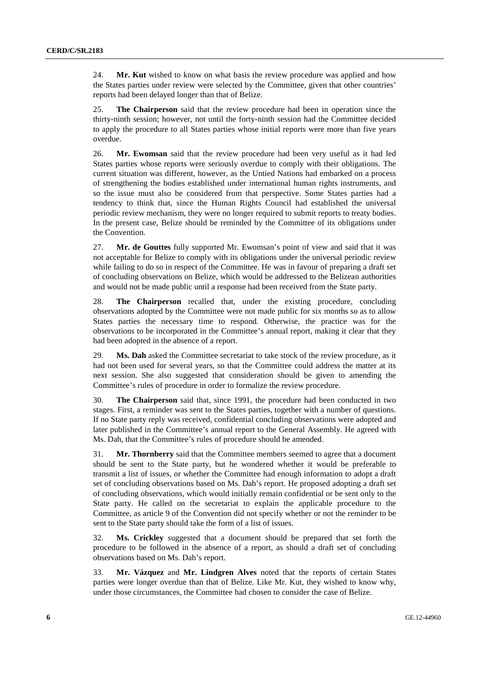24. **Mr. Kut** wished to know on what basis the review procedure was applied and how the States parties under review were selected by the Committee, given that other countries' reports had been delayed longer than that of Belize.

25. **The Chairperson** said that the review procedure had been in operation since the thirty-ninth session; however, not until the forty-ninth session had the Committee decided to apply the procedure to all States parties whose initial reports were more than five years overdue.

26. **Mr. Ewomsan** said that the review procedure had been very useful as it had led States parties whose reports were seriously overdue to comply with their obligations. The current situation was different, however, as the Untied Nations had embarked on a process of strengthening the bodies established under international human rights instruments, and so the issue must also be considered from that perspective. Some States parties had a tendency to think that, since the Human Rights Council had established the universal periodic review mechanism, they were no longer required to submit reports to treaty bodies. In the present case, Belize should be reminded by the Committee of its obligations under the Convention.

27. **Mr. de Gouttes** fully supported Mr. Ewomsan's point of view and said that it was not acceptable for Belize to comply with its obligations under the universal periodic review while failing to do so in respect of the Committee. He was in favour of preparing a draft set of concluding observations on Belize, which would be addressed to the Belizean authorities and would not be made public until a response had been received from the State party.

28. **The Chairperson** recalled that, under the existing procedure, concluding observations adopted by the Committee were not made public for six months so as to allow States parties the necessary time to respond. Otherwise, the practice was for the observations to be incorporated in the Committee's annual report, making it clear that they had been adopted in the absence of a report.

29. **Ms. Dah** asked the Committee secretariat to take stock of the review procedure, as it had not been used for several years, so that the Committee could address the matter at its next session. She also suggested that consideration should be given to amending the Committee's rules of procedure in order to formalize the review procedure.

30. **The Chairperson** said that, since 1991, the procedure had been conducted in two stages. First, a reminder was sent to the States parties, together with a number of questions. If no State party reply was received, confidential concluding observations were adopted and later published in the Committee's annual report to the General Assembly. He agreed with Ms. Dah, that the Committee's rules of procedure should be amended.

31. **Mr. Thornberry** said that the Committee members seemed to agree that a document should be sent to the State party, but he wondered whether it would be preferable to transmit a list of issues, or whether the Committee had enough information to adopt a draft set of concluding observations based on Ms. Dah's report. He proposed adopting a draft set of concluding observations, which would initially remain confidential or be sent only to the State party. He called on the secretariat to explain the applicable procedure to the Committee, as article 9 of the Convention did not specify whether or not the reminder to be sent to the State party should take the form of a list of issues.

32. **Ms. Crickley** suggested that a document should be prepared that set forth the procedure to be followed in the absence of a report, as should a draft set of concluding observations based on Ms. Dah's report.

33. **Mr. Vázquez** and **Mr. Lindgren Alves** noted that the reports of certain States parties were longer overdue than that of Belize. Like Mr. Kut, they wished to know why, under those circumstances, the Committee had chosen to consider the case of Belize.